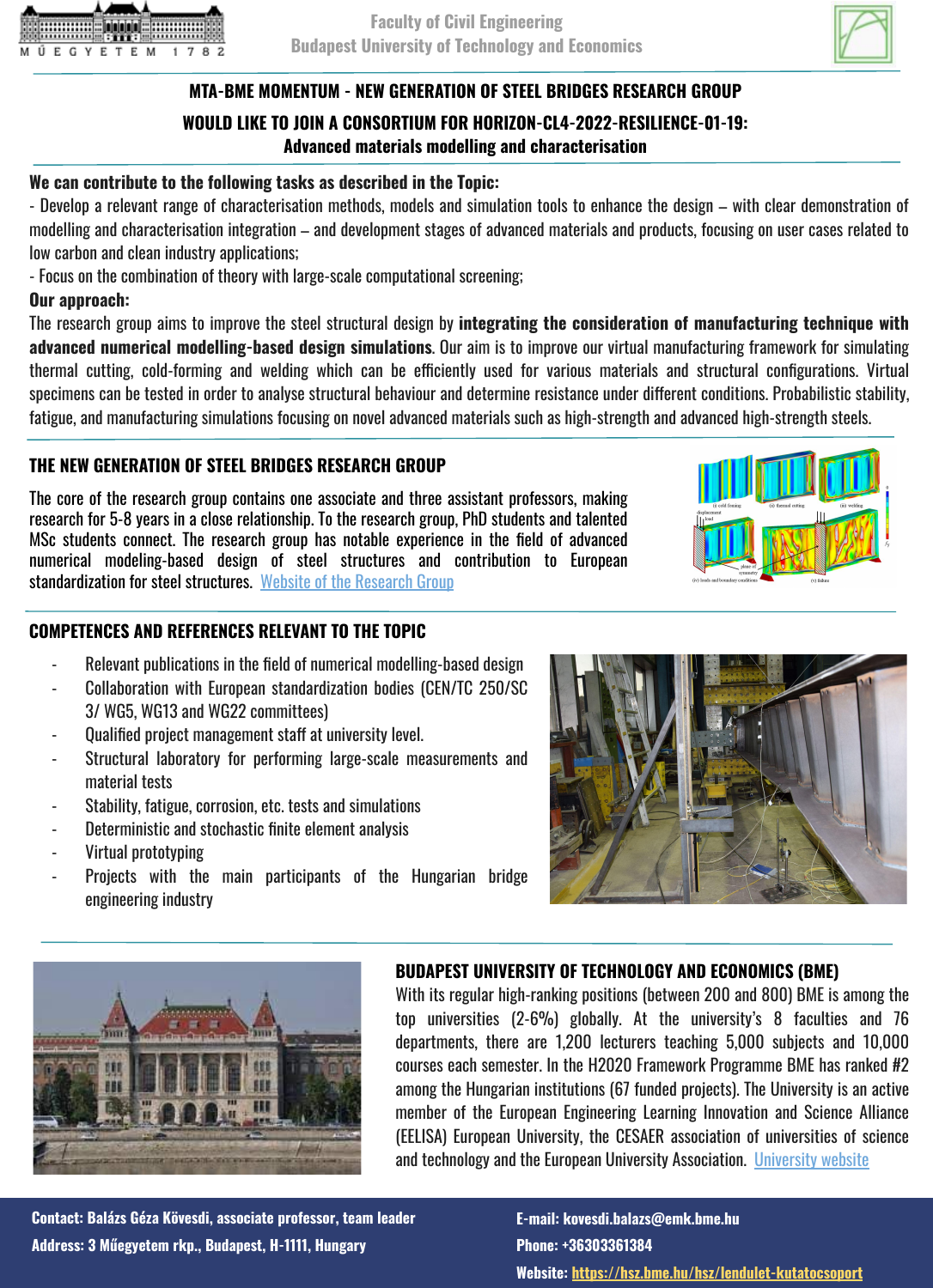



# **MTA-BME MOMENTUM - NEW GENERATION OF STEEL BRIDGES RESEARCH GROUP**

## **WOULD LIKE TO JOIN A CONSORTIUM FOR HORIZON-CL4-2022-RESILIENCE-01-19: Advanced materials modelling and characterisation**

### **We can contribute to the following tasks as described in the Topic:**

- Develop a relevant range of characterisation methods, models and simulation tools to enhance the design – with clear demonstration of modelling and characterisation integration – and development stages of advanced materials and products, focusing on user cases related to low carbon and clean industry applications;

- Focus on the combination of theory with large-scale computational screening;

#### **Our approach:**

The research group aims to improve the steel structural design by **integrating the consideration of manufacturing technique with advanced numerical modelling-based design simulations**. Our aim is to improve our virtual manufacturing framework for simulating thermal cutting, cold-forming and welding which can be efficiently used for various materials and structural configurations. Virtual specimens can be tested in order to analyse structural behaviour and determine resistance under different conditions. Probabilistic stability, fatigue, and manufacturing simulations focusing on novel advanced materials such as high-strength and advanced high-strength steels.

### **THE NEW GENERATION OF STEEL BRIDGES RESEARCH GROUP**

The core of the research group contains one associate and three assistant professors, making research for 5-8 years in a close relationship. To the research group, PhD students and talented MSc students connect. The research group has notable experience in the field of advanced numerical modeling-based design of steel structures and contribution to European standardization for steel structures. [Website of the Research Group](https://hsz.bme.hu/hsz/lendulet-kutatocsoport)

### **COMPETENCES AND REFERENCES RELEVANT TO THE TOPIC**

- Relevant publications in the field of numerical modelling-based design
- Collaboration with European standardization bodies (CEN/TC 250/SC 3/ WG5, WG13 and WG22 committees)
- Qualified project management staff at university level.
- Structural laboratory for performing large-scale measurements and material tests
- Stability, fatigue, corrosion, etc. tests and simulations
- Deterministic and stochastic finite element analysis
- Virtual prototyping
- Projects with the main participants of the Hungarian bridge engineering industry





### **BUDAPEST UNIVERSITY OF TECHNOLOGY AND ECONOMICS (BME)**

With its regular high-ranking positions (between 200 and 800) BME is among the top universities (2-6%) globally. At the university's 8 faculties and 76 departments, there are 1,200 lecturers teaching 5,000 subjects and 10,000 courses each semester. In the H2020 Framework Programme BME has ranked #2 among the Hungarian institutions (67 funded projects). The University is an active member of the European Engineering Learning Innovation and Science Alliance (EELISA) European University, the CESAER association of universities of science and technology and the European University Association. [University website](http://www.bme.hu/?language=en)

**Contact: Balázs Géza Kövesdi, associate professor, team leader Address: 3 Műegyetem rkp., Budapest, H-1111, Hungary**

**E-mail: kovesdi.balazs@emk.bme.hu Phone: +36303361384 Website: <https://hsz.bme.hu/hsz/lendulet-kutatocsoport>**